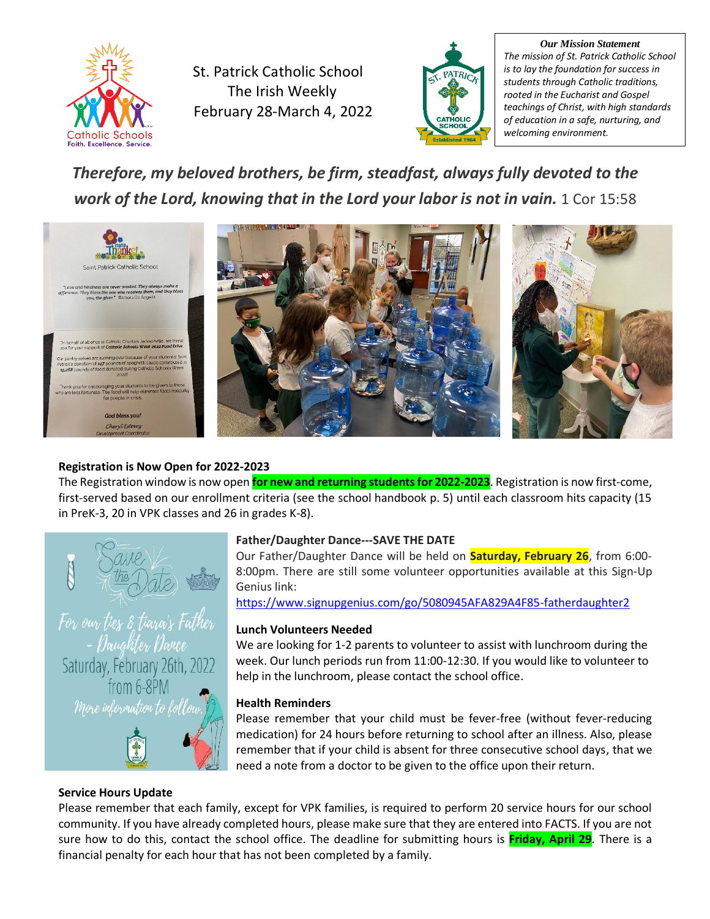

St. Patrick Catholic School The Irish Weekly February 28-March 4, 2022



*Our Mission Statement The mission of St. Patrick Catholic School is to lay the foundation for success in students through Catholic traditions, rooted in the Eucharist and Gospel teachings of Christ, with high standards of education in a safe, nurturing, and welcoming environment.*

# *Therefore, my beloved brothers, be firm, steadfast, always fully devoted to the work of the Lord, knowing that in the Lord your labor is not in vain.* 1 Cor 15:58



# **Registration is Now Open for 2022-2023**

The Registration window is now open **for new and returning students for 2022-2023**. Registration is now first-come, first-served based on our enrollment criteria (see the school handbook p. 5) until each classroom hits capacity (15 in PreK-3, 20 in VPK classes and 26 in grades K-8).



# **Father/Daughter Dance---SAVE THE DATE**

Our Father/Daughter Dance will be held on **Saturday, February 26**, from 6:00- 8:00pm. There are still some volunteer opportunities available at this Sign-Up Genius link:

<https://www.signupgenius.com/go/5080945AFA829A4F85-fatherdaughter2>

# **Lunch Volunteers Needed**

We are looking for 1-2 parents to volunteer to assist with lunchroom during the week. Our lunch periods run from 11:00-12:30. If you would like to volunteer to help in the lunchroom, please contact the school office.

# **Health Reminders**

Please remember that your child must be fever-free (without fever-reducing medication) for 24 hours before returning to school after an illness. Also, please remember that if your child is absent for three consecutive school days, that we need a note from a doctor to be given to the office upon their return.

# **Service Hours Update**

Please remember that each family, except for VPK families, is required to perform 20 service hours for our school community. If you have already completed hours, please make sure that they are entered into FACTS. If you are not sure how to do this, contact the school office. The deadline for submitting hours is **Friday, April 29**. There is a financial penalty for each hour that has not been completed by a family.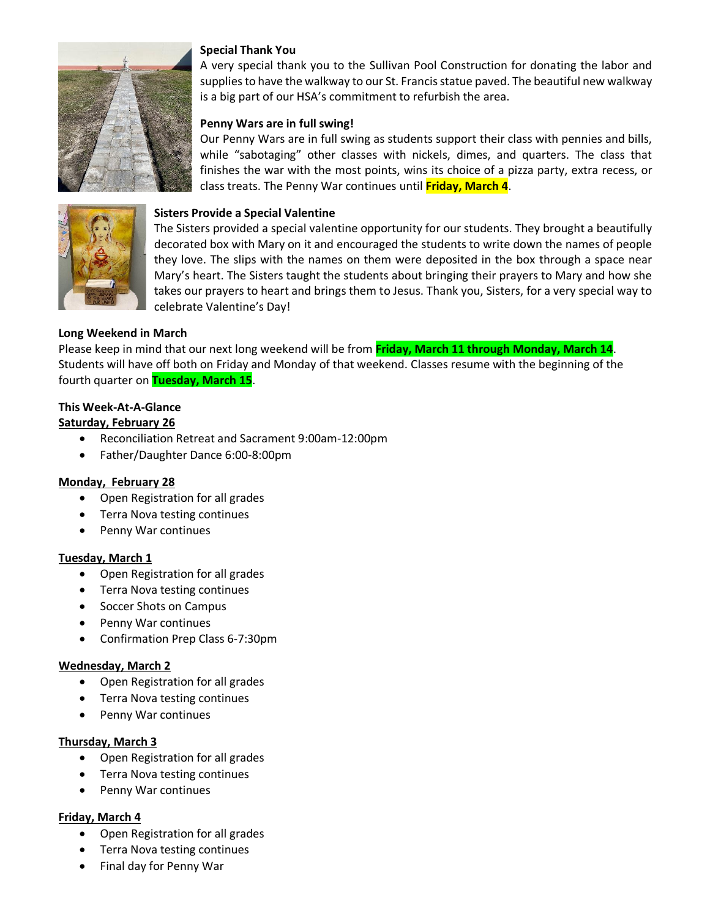

#### **Special Thank You**

A very special thank you to the Sullivan Pool Construction for donating the labor and supplies to have the walkway to our St. Francis statue paved. The beautiful new walkway is a big part of our HSA's commitment to refurbish the area.

### **Penny Wars are in full swing!**

Our Penny Wars are in full swing as students support their class with pennies and bills, while "sabotaging" other classes with nickels, dimes, and quarters. The class that finishes the war with the most points, wins its choice of a pizza party, extra recess, or class treats. The Penny War continues until **Friday, March 4**.



#### **Sisters Provide a Special Valentine**

The Sisters provided a special valentine opportunity for our students. They brought a beautifully decorated box with Mary on it and encouraged the students to write down the names of people they love. The slips with the names on them were deposited in the box through a space near Mary's heart. The Sisters taught the students about bringing their prayers to Mary and how she takes our prayers to heart and brings them to Jesus. Thank you, Sisters, for a very special way to celebrate Valentine's Day!

#### **Long Weekend in March**

Please keep in mind that our next long weekend will be from **Friday, March 11 through Monday, March 14**. Students will have off both on Friday and Monday of that weekend. Classes resume with the beginning of the fourth quarter on **Tuesday, March 15**.

#### **This Week-At-A-Glance**

#### **Saturday, February 26**

- Reconciliation Retreat and Sacrament 9:00am-12:00pm
- Father/Daughter Dance 6:00-8:00pm

#### **Monday, February 28**

- Open Registration for all grades
- Terra Nova testing continues
- Penny War continues

#### **Tuesday, March 1**

- Open Registration for all grades
- Terra Nova testing continues
- Soccer Shots on Campus
- Penny War continues
- Confirmation Prep Class 6-7:30pm

#### **Wednesday, March 2**

- Open Registration for all grades
- Terra Nova testing continues
- Penny War continues

#### **Thursday, March 3**

- Open Registration for all grades
- Terra Nova testing continues
- Penny War continues

#### **Friday, March 4**

- Open Registration for all grades
- Terra Nova testing continues
- Final day for Penny War